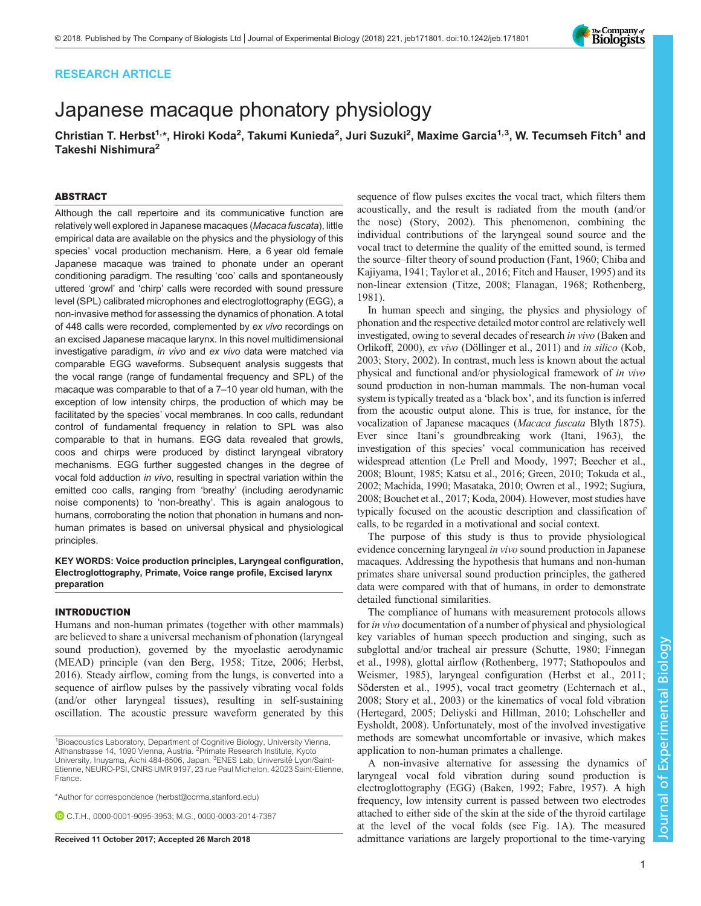# RESEARCH ARTICLE

# Japanese macaque phonatory physiology

Christian T. Herbst<sup>1,</sup>\*, Hiroki Koda<sup>2</sup>, Takumi Kunieda<sup>2</sup>, Juri Suzuki<sup>2</sup>, Maxime Garcia<sup>1,3</sup>, W. Tecumseh Fitch<sup>1</sup> and Takeshi Nishimura2

## ABSTRACT

Although the call repertoire and its communicative function are relatively well explored in Japanese macaques (Macaca fuscata), little empirical data are available on the physics and the physiology of this species' vocal production mechanism. Here, a 6 year old female Japanese macaque was trained to phonate under an operant conditioning paradigm. The resulting 'coo' calls and spontaneously uttered 'growl' and 'chirp' calls were recorded with sound pressure level (SPL) calibrated microphones and electroglottography (EGG), a non-invasive method for assessing the dynamics of phonation. A total of 448 calls were recorded, complemented by ex vivo recordings on an excised Japanese macaque larynx. In this novel multidimensional investigative paradigm, in vivo and ex vivo data were matched via comparable EGG waveforms. Subsequent analysis suggests that the vocal range (range of fundamental frequency and SPL) of the macaque was comparable to that of a 7–10 year old human, with the exception of low intensity chirps, the production of which may be facilitated by the species' vocal membranes. In coo calls, redundant control of fundamental frequency in relation to SPL was also comparable to that in humans. EGG data revealed that growls, coos and chirps were produced by distinct laryngeal vibratory mechanisms. EGG further suggested changes in the degree of vocal fold adduction in vivo, resulting in spectral variation within the emitted coo calls, ranging from 'breathy' (including aerodynamic noise components) to 'non-breathy'. This is again analogous to humans, corroborating the notion that phonation in humans and nonhuman primates is based on universal physical and physiological principles.

KEY WORDS: Voice production principles, Laryngeal configuration, Electroglottography, Primate, Voice range profile, Excised larynx preparation

### INTRODUCTION

Humans and non-human primates (together with other mammals) are believed to share a universal mechanism of phonation (laryngeal sound production), governed by the myoelastic aerodynamic (MEAD) principle ([van den Berg, 1958](#page-8-0); [Titze, 2006;](#page-8-0) [Herbst,](#page-7-0) [2016](#page-7-0)). Steady airflow, coming from the lungs, is converted into a sequence of airflow pulses by the passively vibrating vocal folds (and/or other laryngeal tissues), resulting in self-sustaining oscillation. The acoustic pressure waveform generated by this

\*Author for correspondence [\(herbst@ccrma.stanford.edu](mailto:herbst@ccrma.stanford.edu))

C.T.H., [0000-0001-9095-3953](http://orcid.org/0000-0001-9095-3953); M.G., [0000-0003-2014-7387](http://orcid.org/0000-0003-2014-7387)

sequence of flow pulses excites the vocal tract, which filters them acoustically, and the result is radiated from the mouth (and/or the nose) [\(Story, 2002\)](#page-8-0). This phenomenon, combining the individual contributions of the laryngeal sound source and the vocal tract to determine the quality of the emitted sound, is termed the source–filter theory of sound production [\(Fant, 1960](#page-7-0); [Chiba and](#page-7-0) [Kajiyama, 1941;](#page-7-0) [Taylor et al., 2016;](#page-8-0) [Fitch and Hauser, 1995\)](#page-7-0) and its non-linear extension [\(Titze, 2008](#page-8-0); [Flanagan, 1968;](#page-7-0) [Rothenberg,](#page-8-0) [1981\)](#page-8-0).

In human speech and singing, the physics and physiology of phonation and the respective detailed motor control are relatively well investigated, owing to several decades of research in vivo ([Baken and](#page-7-0) [Orlikoff, 2000\)](#page-7-0), ex vivo [\(Döllinger et al., 2011\)](#page-7-0) and in silico ([Kob,](#page-7-0) 2003; [Story, 2002\)](#page-8-0). In contrast, much less is known about the actual physical and functional and/or physiological framework of in vivo sound production in non-human mammals. The non-human vocal system is typically treated as a 'black box', and its function is inferred from the acoustic output alone. This is true, for instance, for the vocalization of Japanese macaques (Macaca fuscata Blyth 1875). Ever since Itani's groundbreaking work [\(Itani, 1963](#page-7-0)), the investigation of this species' vocal communication has received widespread attention [\(Le Prell and Moody, 1997](#page-7-0); [Beecher et al.,](#page-7-0) [2008; Blount, 1985; Katsu et al., 2016; Green, 2010](#page-7-0); [Tokuda et al.,](#page-8-0) [2002;](#page-8-0) [Machida, 1990](#page-7-0); [Masataka, 2010;](#page-7-0) [Owren et al., 1992](#page-8-0); [Sugiura,](#page-8-0) [2008;](#page-8-0) [Bouchet et al., 2017; Koda, 2004](#page-7-0)). However, most studies have typically focused on the acoustic description and classification of calls, to be regarded in a motivational and social context.

The purpose of this study is thus to provide physiological evidence concerning laryngeal in vivo sound production in Japanese macaques. Addressing the hypothesis that humans and non-human primates share universal sound production principles, the gathered data were compared with that of humans, in order to demonstrate detailed functional similarities.

The compliance of humans with measurement protocols allows for in vivo documentation of a number of physical and physiological key variables of human speech production and singing, such as subglottal and/or tracheal air pressure ([Schutte, 1980;](#page-8-0) [Finnegan](#page-7-0) [et al., 1998](#page-7-0)), glottal airflow [\(Rothenberg, 1977](#page-8-0); [Stathopoulos and](#page-8-0) [Weismer, 1985](#page-8-0)), laryngeal configuration ([Herbst et al., 2011](#page-7-0); [Södersten et al., 1995\)](#page-8-0), vocal tract geometry [\(Echternach et al.,](#page-7-0) [2008;](#page-7-0) [Story et al., 2003](#page-8-0)) or the kinematics of vocal fold vibration [\(Hertegard, 2005](#page-7-0); [Deliyski and Hillman, 2010](#page-7-0); [Lohscheller and](#page-7-0) [Eysholdt, 2008\)](#page-7-0). Unfortunately, most of the involved investigative methods are somewhat uncomfortable or invasive, which makes application to non-human primates a challenge.

A non-invasive alternative for assessing the dynamics of laryngeal vocal fold vibration during sound production is electroglottography (EGG) ([Baken, 1992](#page-7-0); [Fabre, 1957](#page-7-0)). A high frequency, low intensity current is passed between two electrodes attached to either side of the skin at the side of the thyroid cartilage at the level of the vocal folds (see [Fig. 1](#page-1-0)A). The measured Received 11 October 2017; Accepted 26 March 2018 admittance variations are largely proportional to the time-varying



<sup>&</sup>lt;sup>1</sup> Bioacoustics Laboratory, Department of Cognitive Biology, University Vienna, Althanstrasse 14, 1090 Vienna, Austria. <sup>2</sup>Primate Research Institute, Kyoto University, Inuyama, Aichi 484-8506, Japan. <sup>3</sup>ENES Lab, Université Lyon/Saint-Etienne, NEURO-PSI, CNRS UMR 9197, 23 rue Paul Michelon, 42023 Saint-Etienne, France.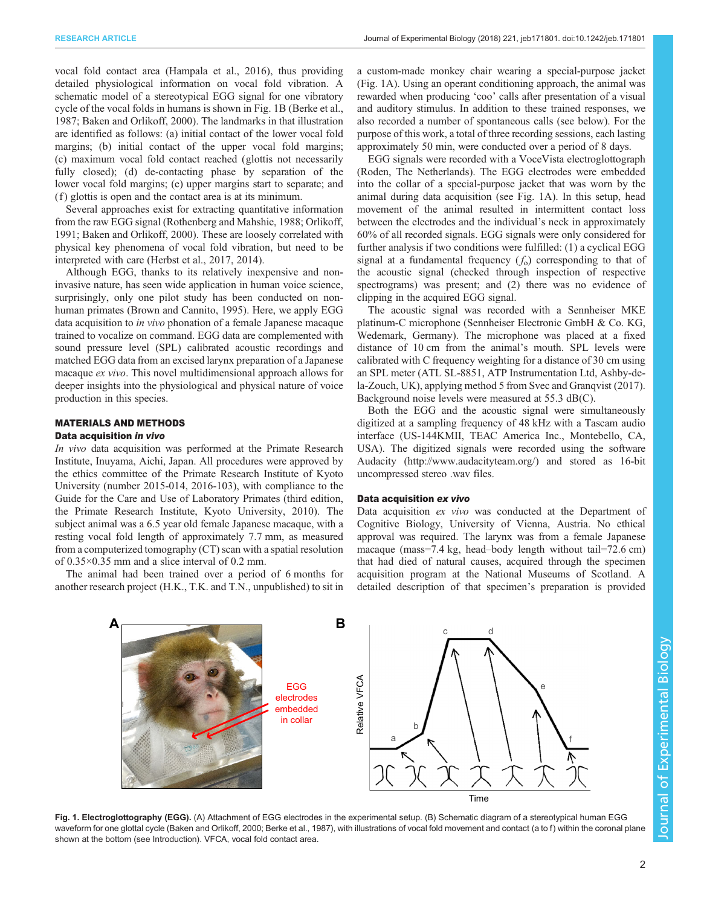<span id="page-1-0"></span>vocal fold contact area ([Hampala et al., 2016\)](#page-7-0), thus providing detailed physiological information on vocal fold vibration. A schematic model of a stereotypical EGG signal for one vibratory cycle of the vocal folds in humans is shown in Fig. 1B [\(Berke et al.,](#page-7-0) [1987](#page-7-0); [Baken and Orlikoff, 2000](#page-7-0)). The landmarks in that illustration are identified as follows: (a) initial contact of the lower vocal fold margins; (b) initial contact of the upper vocal fold margins; (c) maximum vocal fold contact reached (glottis not necessarily fully closed); (d) de-contacting phase by separation of the lower vocal fold margins; (e) upper margins start to separate; and (f ) glottis is open and the contact area is at its minimum.

Several approaches exist for extracting quantitative information from the raw EGG signal ([Rothenberg and Mahshie, 1988; Orlikoff,](#page-8-0) [1991](#page-8-0); [Baken and Orlikoff, 2000](#page-7-0)). These are loosely correlated with physical key phenomena of vocal fold vibration, but need to be interpreted with care ([Herbst et al., 2017, 2014\)](#page-7-0).

Although EGG, thanks to its relatively inexpensive and noninvasive nature, has seen wide application in human voice science, surprisingly, only one pilot study has been conducted on nonhuman primates [\(Brown and Cannito, 1995](#page-7-0)). Here, we apply EGG data acquisition to in vivo phonation of a female Japanese macaque trained to vocalize on command. EGG data are complemented with sound pressure level (SPL) calibrated acoustic recordings and matched EGG data from an excised larynx preparation of a Japanese macaque ex vivo. This novel multidimensional approach allows for deeper insights into the physiological and physical nature of voice production in this species.

# MATERIALS AND METHODS

## Data acquisition in vivo

In vivo data acquisition was performed at the Primate Research Institute, Inuyama, Aichi, Japan. All procedures were approved by the ethics committee of the Primate Research Institute of Kyoto University (number 2015-014, 2016-103), with compliance to the Guide for the Care and Use of Laboratory Primates (third edition, the Primate Research Institute, Kyoto University, 2010). The subject animal was a 6.5 year old female Japanese macaque, with a resting vocal fold length of approximately 7.7 mm, as measured from a computerized tomography (CT) scan with a spatial resolution of 0.35×0.35 mm and a slice interval of 0.2 mm.

The animal had been trained over a period of 6 months for another research project (H.K., T.K. and T.N., unpublished) to sit in

a custom-made monkey chair wearing a special-purpose jacket (Fig. 1A). Using an operant conditioning approach, the animal was rewarded when producing 'coo' calls after presentation of a visual and auditory stimulus. In addition to these trained responses, we also recorded a number of spontaneous calls (see below). For the purpose of this work, a total of three recording sessions, each lasting approximately 50 min, were conducted over a period of 8 days.

EGG signals were recorded with a VoceVista electroglottograph (Roden, The Netherlands). The EGG electrodes were embedded into the collar of a special-purpose jacket that was worn by the animal during data acquisition (see Fig. 1A). In this setup, head movement of the animal resulted in intermittent contact loss between the electrodes and the individual's neck in approximately 60% of all recorded signals. EGG signals were only considered for further analysis if two conditions were fulfilled: (1) a cyclical EGG signal at a fundamental frequency  $(f_0)$  corresponding to that of the acoustic signal (checked through inspection of respective spectrograms) was present; and (2) there was no evidence of clipping in the acquired EGG signal.

The acoustic signal was recorded with a Sennheiser MKE platinum-C microphone (Sennheiser Electronic GmbH & Co. KG, Wedemark, Germany). The microphone was placed at a fixed distance of 10 cm from the animal's mouth. SPL levels were calibrated with C frequency weighting for a distance of 30 cm using an SPL meter (ATL SL-8851, ATP Instrumentation Ltd, Ashby-dela-Zouch, UK), applying method 5 from [Svec and Granqvist \(2017\).](#page-8-0) Background noise levels were measured at 55.3 dB(C).

Both the EGG and the acoustic signal were simultaneously digitized at a sampling frequency of 48 kHz with a Tascam audio interface (US-144KMII, TEAC America Inc., Montebello, CA, USA). The digitized signals were recorded using the software Audacity [\(http://www.audacityteam.org/\)](http://www.audacityteam.org/) and stored as 16-bit uncompressed stereo .wav files.

### Data acquisition ex vivo

Data acquisition ex vivo was conducted at the Department of Cognitive Biology, University of Vienna, Austria. No ethical approval was required. The larynx was from a female Japanese macaque (mass=7.4 kg, head–body length without tail=72.6 cm) that had died of natural causes, acquired through the specimen acquisition program at the National Museums of Scotland. A detailed description of that specimen's preparation is provided



Fig. 1. Electroglottography (EGG). (A) Attachment of EGG electrodes in the experimental setup. (B) Schematic diagram of a stereotypical human EGG waveform for one glottal cycle [\(Baken and Orlikoff, 2000](#page-7-0); [Berke et al., 1987\)](#page-7-0), with illustrations of vocal fold movement and contact (a to f) within the coronal plane shown at the bottom (see Introduction). VFCA, vocal fold contact area.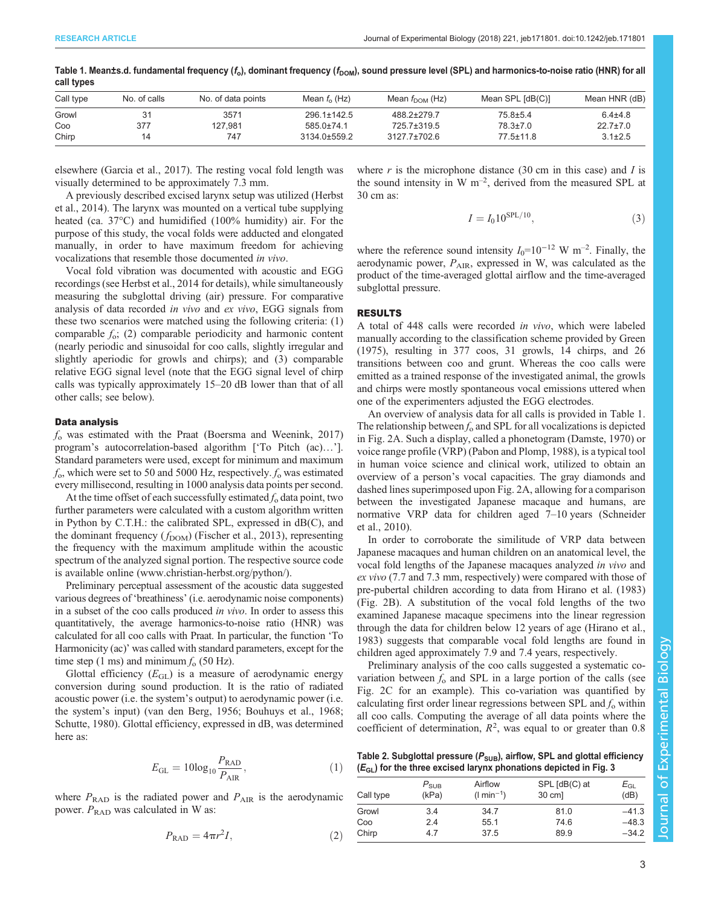| <b>OUTLASHOO</b> |              |                    |                   |                            |                  |                |  |  |  |
|------------------|--------------|--------------------|-------------------|----------------------------|------------------|----------------|--|--|--|
| Call type        | No. of calls | No. of data points | Mean $f_{0}$ (Hz) | Mean $f_{\text{DOM}}$ (Hz) | Mean SPL [dB(C)] | Mean HNR (dB)  |  |  |  |
| Growl            |              | 3571               | $296.1 \pm 142.5$ | 488.2±279.7                | $75.8 \pm 5.4$   | $6.4{\pm}4.8$  |  |  |  |
| Coo              | 377          | 127.981            | $585.0 \pm 74.1$  | 725.7±319.5                | 78.3±7.0         | $22.7 \pm 7.0$ |  |  |  |
| Chirp            | 14           | 747                | 3134.0±559.2      | $3127.7 \pm 702.6$         | $77.5 \pm 11.8$  | $3.1 \pm 2.5$  |  |  |  |

<span id="page-2-0"></span>Table 1. Mean±s.d. fundamental frequency ( $f_0$ ), dominant frequency ( $f_{\text{DOM}}$ ), sound pressure level (SPL) and harmonics-to-noise ratio (HNR) for all call types

elsewhere [\(Garcia et al., 2017\)](#page-7-0). The resting vocal fold length was visually determined to be approximately 7.3 mm.

A previously described excised larynx setup was utilized [\(Herbst](#page-7-0) [et al., 2014](#page-7-0)). The larynx was mounted on a vertical tube supplying heated (ca. 37°C) and humidified (100% humidity) air. For the purpose of this study, the vocal folds were adducted and elongated manually, in order to have maximum freedom for achieving vocalizations that resemble those documented in vivo.

Vocal fold vibration was documented with acoustic and EGG recordings (see [Herbst et al., 2014](#page-7-0) for details), while simultaneously measuring the subglottal driving (air) pressure. For comparative analysis of data recorded in vivo and ex vivo, EGG signals from these two scenarios were matched using the following criteria: (1) comparable  $f_0$ ; (2) comparable periodicity and harmonic content (nearly periodic and sinusoidal for coo calls, slightly irregular and slightly aperiodic for growls and chirps); and (3) comparable relative EGG signal level (note that the EGG signal level of chirp calls was typically approximately 15–20 dB lower than that of all other calls; see below).

## Data analysis

 $f<sub>o</sub>$  was estimated with the Praat [\(Boersma and Weenink, 2017\)](#page-7-0) program's autocorrelation-based algorithm ['To Pitch (ac)…']. Standard parameters were used, except for minimum and maximum  $f_0$ , which were set to 50 and 5000 Hz, respectively.  $f_0$  was estimated every millisecond, resulting in 1000 analysis data points per second.

At the time offset of each successfully estimated  $f_0$  data point, two further parameters were calculated with a custom algorithm written in Python by C.T.H.: the calibrated SPL, expressed in dB(C), and the dominant frequency  $(f_{\text{DOM}})$  [\(Fischer et al., 2013\)](#page-7-0), representing the frequency with the maximum amplitude within the acoustic spectrum of the analyzed signal portion. The respective source code is available online ([www.christian-herbst.org/python/\)](http://www.christian-herbst.org/python/).

Preliminary perceptual assessment of the acoustic data suggested various degrees of 'breathiness' (i.e. aerodynamic noise components) in a subset of the coo calls produced in vivo. In order to assess this quantitatively, the average harmonics-to-noise ratio (HNR) was calculated for all coo calls with Praat. In particular, the function 'To Harmonicity (ac)' was called with standard parameters, except for the time step (1 ms) and minimum  $f_0$  (50 Hz).

Glottal efficiency  $(E_{GL})$  is a measure of aerodynamic energy conversion during sound production. It is the ratio of radiated acoustic power (i.e. the system's output) to aerodynamic power (i.e. the system's input) [\(van den Berg, 1956](#page-8-0); [Bouhuys et al., 1968](#page-7-0); [Schutte, 1980\)](#page-8-0). Glottal efficiency, expressed in dB, was determined here as:

$$
E_{\text{GL}} = 10\log_{10} \frac{P_{\text{RAD}}}{P_{\text{AIR}}},\tag{1}
$$

where  $P_{\text{RAD}}$  is the radiated power and  $P_{\text{AIR}}$  is the aerodynamic power.  $P_{\text{RAD}}$  was calculated in W as:

$$
P_{\rm RAD} = 4\pi r^2 I,\tag{2}
$$

where  $r$  is the microphone distance (30 cm in this case) and  $I$  is the sound intensity in  $W \, \text{m}^{-2}$ , derived from the measured SPL at 30 cm as:

$$
I = I_0 10^{\text{SPL}/10},\tag{3}
$$

where the reference sound intensity  $I_0=10^{-12}$  W m<sup>-2</sup>. Finally, the aerodynamic power,  $P_{\text{AIR}}$ , expressed in W, was calculated as the product of the time-averaged glottal airflow and the time-averaged subglottal pressure.

#### RESULTS

A total of 448 calls were recorded in vivo, which were labeled manually according to the classification scheme provided by [Green](#page-7-0) [\(1975\)](#page-7-0), resulting in 377 coos, 31 growls, 14 chirps, and 26 transitions between coo and grunt. Whereas the coo calls were emitted as a trained response of the investigated animal, the growls and chirps were mostly spontaneous vocal emissions uttered when one of the experimenters adjusted the EGG electrodes.

An overview of analysis data for all calls is provided in Table 1. The relationship between  $f_0$  and SPL for all vocalizations is depicted in [Fig. 2](#page-3-0)A. Such a display, called a phonetogram ([Damste, 1970\)](#page-7-0) or voice range profile (VRP) [\(Pabon and Plomp, 1988](#page-8-0)), is a typical tool in human voice science and clinical work, utilized to obtain an overview of a person's vocal capacities. The gray diamonds and dashed lines superimposed upon [Fig. 2](#page-3-0)A, allowing for a comparison between the investigated Japanese macaque and humans, are normative VRP data for children aged 7–10 years [\(Schneider](#page-8-0) [et al., 2010\)](#page-8-0).

In order to corroborate the similitude of VRP data between Japanese macaques and human children on an anatomical level, the vocal fold lengths of the Japanese macaques analyzed in vivo and ex vivo (7.7 and 7.3 mm, respectively) were compared with those of pre-pubertal children according to data from [Hirano et al. \(1983\)](#page-7-0) [\(Fig. 2](#page-3-0)B). A substitution of the vocal fold lengths of the two examined Japanese macaque specimens into the linear regression through the data for children below 12 years of age ([Hirano et al.,](#page-7-0) [1983\)](#page-7-0) suggests that comparable vocal fold lengths are found in children aged approximately 7.9 and 7.4 years, respectively.

Preliminary analysis of the coo calls suggested a systematic covariation between  $f_0$  and SPL in a large portion of the calls (see [Fig. 2C](#page-3-0) for an example). This co-variation was quantified by calculating first order linear regressions between SPL and  $f_0$  within all coo calls. Computing the average of all data points where the coefficient of determination,  $R^2$ , was equal to or greater than 0.8

Table 2. Subglottal pressure ( $P_{SUB}$ ), airflow, SPL and glottal efficiency  $(E_{GL})$  for the three excised larynx phonations depicted in [Fig. 3](#page-4-0)

| Call type | $P_{\scriptstyle\text{SUB}}$<br>(kPa) | Airflow<br>$(l \text{ min}^{-1})$ | SPL [dB(C) at<br>30 cm] | $E_{\textsf{GL}}$<br>(dB) |
|-----------|---------------------------------------|-----------------------------------|-------------------------|---------------------------|
| Growl     | 3.4                                   | 34.7                              | 81.0                    | $-41.3$                   |
| Coo       | 2.4                                   | 55.1                              | 74.6                    | $-48.3$                   |
| Chirp     | 4.7                                   | 37.5                              | 89.9                    | $-34.2$                   |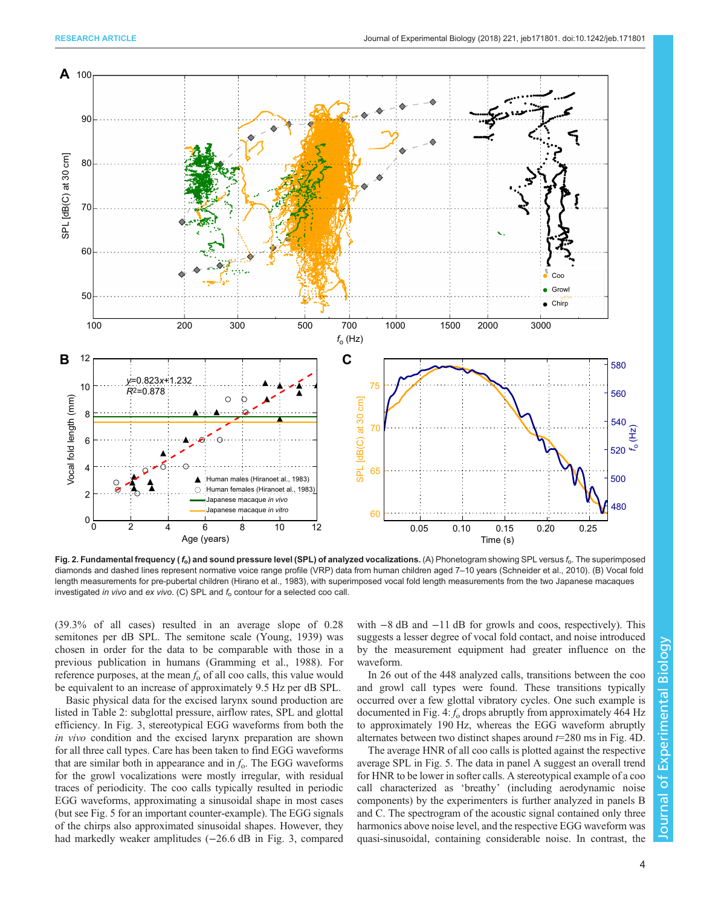<span id="page-3-0"></span>

Fig. 2. Fundamental frequency ( $f_o$ ) and sound pressure level (SPL) of analyzed vocalizations. (A) Phonetogram showing SPL versus  $f_o$ . The superimposed diamonds and dashed lines represent normative voice range profile (VRP) data from human children aged 7–10 years ([Schneider et al., 2010](#page-8-0)). (B) Vocal fold length measurements for pre-pubertal children [\(Hirano et al., 1983](#page-7-0)), with superimposed vocal fold length measurements from the two Japanese macaques investigated in vivo and ex vivo. (C) SPL and  $f_0$  contour for a selected coo call.

(39.3% of all cases) resulted in an average slope of 0.28 semitones per dB SPL. The semitone scale [\(Young, 1939](#page-8-0)) was chosen in order for the data to be comparable with those in a previous publication in humans [\(Gramming et al., 1988](#page-7-0)). For reference purposes, at the mean  $f_0$  of all coo calls, this value would be equivalent to an increase of approximately 9.5 Hz per dB SPL.

Basic physical data for the excised larynx sound production are listed in [Table 2:](#page-2-0) subglottal pressure, airflow rates, SPL and glottal efficiency. In [Fig. 3](#page-4-0), stereotypical EGG waveforms from both the in vivo condition and the excised larynx preparation are shown for all three call types. Care has been taken to find EGG waveforms that are similar both in appearance and in  $f_0$ . The EGG waveforms for the growl vocalizations were mostly irregular, with residual traces of periodicity. The coo calls typically resulted in periodic EGG waveforms, approximating a sinusoidal shape in most cases (but see [Fig. 5](#page-5-0) for an important counter-example). The EGG signals of the chirps also approximated sinusoidal shapes. However, they had markedly weaker amplitudes (−26.6 dB in [Fig. 3](#page-4-0), compared

with  $-8$  dB and  $-11$  dB for growls and coos, respectively). This suggests a lesser degree of vocal fold contact, and noise introduced by the measurement equipment had greater influence on the waveform.

In 26 out of the 448 analyzed calls, transitions between the coo and growl call types were found. These transitions typically occurred over a few glottal vibratory cycles. One such example is documented in [Fig. 4](#page-5-0):  $f_0$  drops abruptly from approximately 464 Hz to approximately 190 Hz, whereas the EGG waveform abruptly alternates between two distinct shapes around  $t=280$  ms in [Fig. 4D](#page-5-0).

The average HNR of all coo calls is plotted against the respective average SPL in [Fig. 5.](#page-5-0) The data in panel A suggest an overall trend for HNR to be lower in softer calls. A stereotypical example of a coo call characterized as 'breathy' (including aerodynamic noise components) by the experimenters is further analyzed in panels B and C. The spectrogram of the acoustic signal contained only three harmonics above noise level, and the respective EGG waveform was quasi-sinusoidal, containing considerable noise. In contrast, the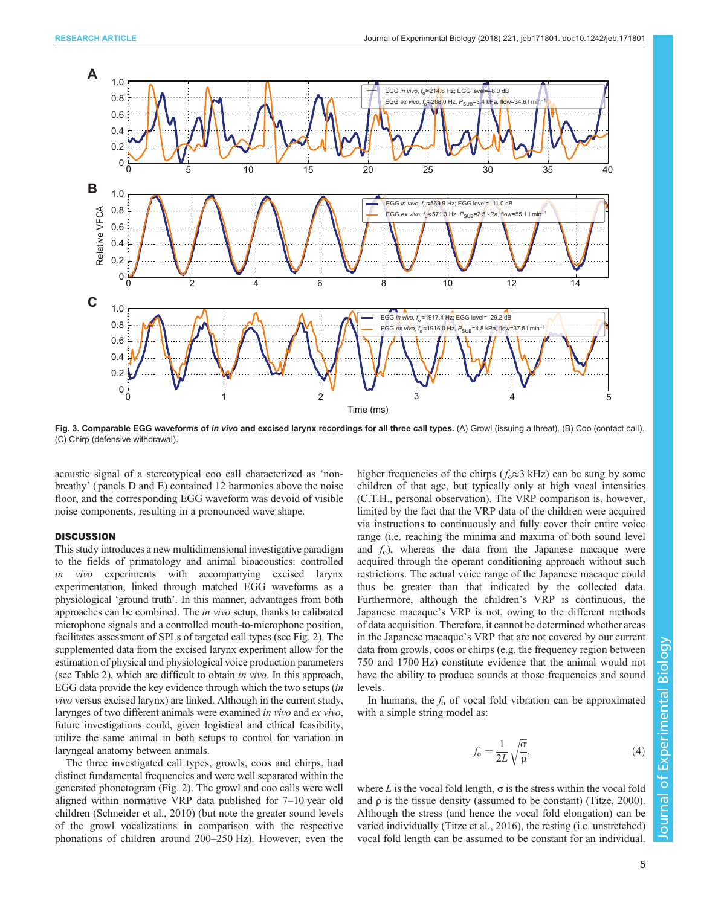<span id="page-4-0"></span>

Fig. 3. Comparable EGG waveforms of in vivo and excised larynx recordings for all three call types. (A) Growl (issuing a threat). (B) Coo (contact call). (C) Chirp (defensive withdrawal).

acoustic signal of a stereotypical coo call characterized as 'nonbreathy' ( panels D and E) contained 12 harmonics above the noise floor, and the corresponding EGG waveform was devoid of visible noise components, resulting in a pronounced wave shape.

## **DISCUSSION**

This study introduces a new multidimensional investigative paradigm to the fields of primatology and animal bioacoustics: controlled in vivo experiments with accompanying excised larynx experimentation, linked through matched EGG waveforms as a physiological 'ground truth'. In this manner, advantages from both approaches can be combined. The in vivo setup, thanks to calibrated microphone signals and a controlled mouth-to-microphone position, facilitates assessment of SPLs of targeted call types (see [Fig. 2](#page-3-0)). The supplemented data from the excised larynx experiment allow for the estimation of physical and physiological voice production parameters (see [Table 2](#page-2-0)), which are difficult to obtain in vivo. In this approach, EGG data provide the key evidence through which the two setups (in vivo versus excised larynx) are linked. Although in the current study, larynges of two different animals were examined in vivo and ex vivo, future investigations could, given logistical and ethical feasibility, utilize the same animal in both setups to control for variation in laryngeal anatomy between animals.

The three investigated call types, growls, coos and chirps, had distinct fundamental frequencies and were well separated within the generated phonetogram ([Fig. 2\)](#page-3-0). The growl and coo calls were well aligned within normative VRP data published for 7–10 year old children [\(Schneider et al., 2010](#page-8-0)) (but note the greater sound levels of the growl vocalizations in comparison with the respective phonations of children around 200–250 Hz). However, even the higher frequencies of the chirps ( $f_0 \approx 3$  kHz) can be sung by some children of that age, but typically only at high vocal intensities (C.T.H., personal observation). The VRP comparison is, however, limited by the fact that the VRP data of the children were acquired via instructions to continuously and fully cover their entire voice range (i.e. reaching the minima and maxima of both sound level and  $f_0$ ), whereas the data from the Japanese macaque were acquired through the operant conditioning approach without such restrictions. The actual voice range of the Japanese macaque could thus be greater than that indicated by the collected data. Furthermore, although the children's VRP is continuous, the Japanese macaque's VRP is not, owing to the different methods of data acquisition. Therefore, it cannot be determined whether areas in the Japanese macaque's VRP that are not covered by our current data from growls, coos or chirps (e.g. the frequency region between 750 and 1700 Hz) constitute evidence that the animal would not have the ability to produce sounds at those frequencies and sound levels.

In humans, the  $f_0$  of vocal fold vibration can be approximated with a simple string model as:

$$
f_{\rm o} = \frac{1}{2L} \sqrt{\frac{\sigma}{\rho}},\tag{4}
$$

where L is the vocal fold length,  $\sigma$  is the stress within the vocal fold and  $\rho$  is the tissue density (assumed to be constant) [\(Titze, 2000\)](#page-8-0). Although the stress (and hence the vocal fold elongation) can be varied individually ([Titze et al., 2016](#page-8-0)), the resting (i.e. unstretched) vocal fold length can be assumed to be constant for an individual.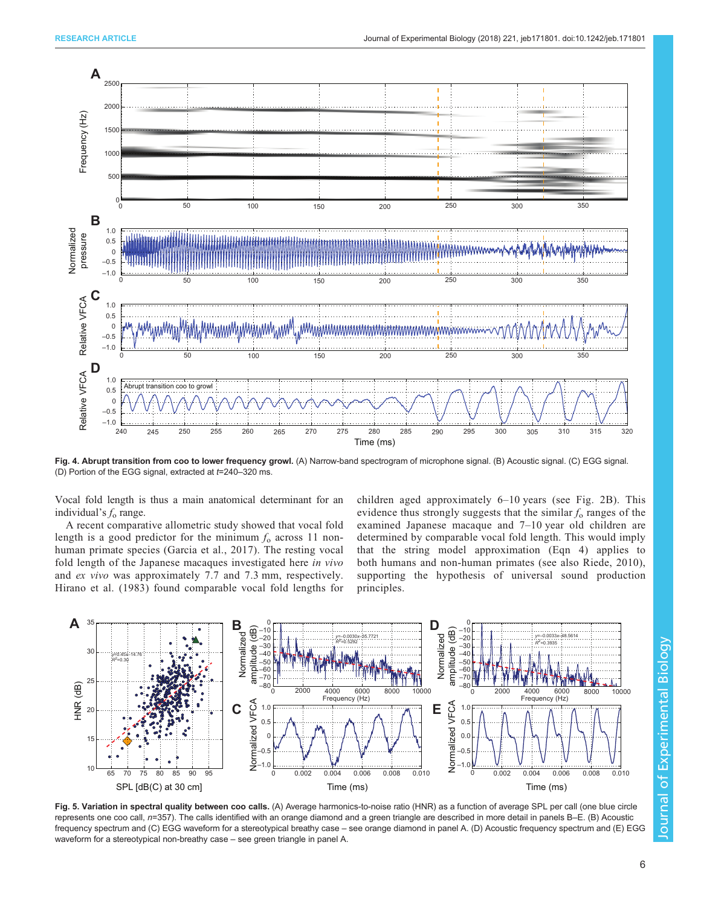<span id="page-5-0"></span>

Fig. 4. Abrupt transition from coo to lower frequency growl. (A) Narrow-band spectrogram of microphone signal. (B) Acoustic signal. (C) EGG signal. (D) Portion of the EGG signal, extracted at  $t=240-320$  ms.

Vocal fold length is thus a main anatomical determinant for an individual's  $f_0$  range.

A recent comparative allometric study showed that vocal fold length is a good predictor for the minimum  $f_0$  across 11 nonhuman primate species [\(Garcia et al., 2017](#page-7-0)). The resting vocal fold length of the Japanese macaques investigated here in vivo and ex vivo was approximately 7.7 and 7.3 mm, respectively. [Hirano et al. \(1983\)](#page-7-0) found comparable vocal fold lengths for

children aged approximately 6–10 years (see [Fig. 2](#page-3-0)B). This evidence thus strongly suggests that the similar  $f_0$  ranges of the examined Japanese macaque and 7–10 year old children are determined by comparable vocal fold length. This would imply that the string model approximation (Eqn 4) applies to both humans and non-human primates (see also [Riede, 2010](#page-8-0)), supporting the hypothesis of universal sound production principles.



Fig. 5. Variation in spectral quality between coo calls. (A) Average harmonics-to-noise ratio (HNR) as a function of average SPL per call (one blue circle represents one coo call, n=357). The calls identified with an orange diamond and a green triangle are described in more detail in panels B–E. (B) Acoustic frequency spectrum and (C) EGG waveform for a stereotypical breathy case – see orange diamond in panel A. (D) Acoustic frequency spectrum and (E) EGG waveform for a stereotypical non-breathy case – see green triangle in panel A.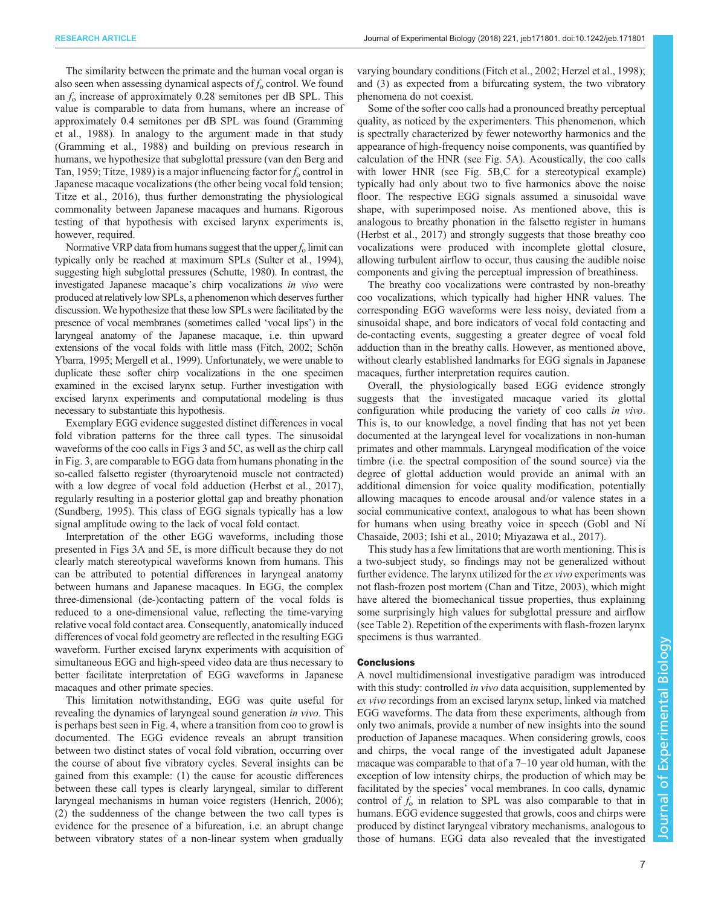The similarity between the primate and the human vocal organ is also seen when assessing dynamical aspects of  $f_0$  control. We found an  $f_0$  increase of approximately 0.28 semitones per dB SPL. This value is comparable to data from humans, where an increase of approximately 0.4 semitones per dB SPL was found [\(Gramming](#page-7-0) [et al., 1988](#page-7-0)). In analogy to the argument made in that study [\(Gramming et al., 1988](#page-7-0)) and building on previous research in humans, we hypothesize that subglottal pressure ([van den Berg and](#page-8-0) [Tan, 1959; Titze, 1989\)](#page-8-0) is a major influencing factor for  $f_0$  control in Japanese macaque vocalizations (the other being vocal fold tension; [Titze et al., 2016\)](#page-8-0), thus further demonstrating the physiological commonality between Japanese macaques and humans. Rigorous testing of that hypothesis with excised larynx experiments is, however, required.

Normative VRP data from humans suggest that the upper  $f_0$  limit can typically only be reached at maximum SPLs ([Sulter et al., 1994\)](#page-8-0), suggesting high subglottal pressures [\(Schutte, 1980\)](#page-8-0). In contrast, the investigated Japanese macaque's chirp vocalizations in vivo were produced at relatively low SPLs, a phenomenon which deserves further discussion. We hypothesize that these low SPLs were facilitated by the presence of vocal membranes (sometimes called 'vocal lips') in the laryngeal anatomy of the Japanese macaque, i.e. thin upward extensions of the vocal folds with little mass [\(Fitch, 2002;](#page-7-0) [Schön](#page-8-0) [Ybarra, 1995;](#page-8-0) [Mergell et al., 1999\)](#page-7-0). Unfortunately, we were unable to duplicate these softer chirp vocalizations in the one specimen examined in the excised larynx setup. Further investigation with excised larynx experiments and computational modeling is thus necessary to substantiate this hypothesis.

Exemplary EGG evidence suggested distinct differences in vocal fold vibration patterns for the three call types. The sinusoidal waveforms of the coo calls in [Figs 3](#page-4-0) and [5C](#page-5-0), as well as the chirp call in [Fig. 3,](#page-4-0) are comparable to EGG data from humans phonating in the so-called falsetto register (thyroarytenoid muscle not contracted) with a low degree of vocal fold adduction [\(Herbst et al., 2017\)](#page-7-0), regularly resulting in a posterior glottal gap and breathy phonation [\(Sundberg, 1995](#page-8-0)). This class of EGG signals typically has a low signal amplitude owing to the lack of vocal fold contact.

Interpretation of the other EGG waveforms, including those presented in [Figs 3](#page-4-0)A and [5E](#page-5-0), is more difficult because they do not clearly match stereotypical waveforms known from humans. This can be attributed to potential differences in laryngeal anatomy between humans and Japanese macaques. In EGG, the complex three-dimensional (de-)contacting pattern of the vocal folds is reduced to a one-dimensional value, reflecting the time-varying relative vocal fold contact area. Consequently, anatomically induced differences of vocal fold geometry are reflected in the resulting EGG waveform. Further excised larynx experiments with acquisition of simultaneous EGG and high-speed video data are thus necessary to better facilitate interpretation of EGG waveforms in Japanese macaques and other primate species.

This limitation notwithstanding, EGG was quite useful for revealing the dynamics of laryngeal sound generation in vivo. This is perhaps best seen in [Fig. 4,](#page-5-0) where a transition from coo to growl is documented. The EGG evidence reveals an abrupt transition between two distinct states of vocal fold vibration, occurring over the course of about five vibratory cycles. Several insights can be gained from this example: (1) the cause for acoustic differences between these call types is clearly laryngeal, similar to different laryngeal mechanisms in human voice registers ([Henrich, 2006](#page-7-0)); (2) the suddenness of the change between the two call types is evidence for the presence of a bifurcation, i.e. an abrupt change between vibratory states of a non-linear system when gradually

varying boundary conditions [\(Fitch et al., 2002](#page-7-0); [Herzel et al., 1998](#page-7-0)); and (3) as expected from a bifurcating system, the two vibratory phenomena do not coexist.

Some of the softer coo calls had a pronounced breathy perceptual quality, as noticed by the experimenters. This phenomenon, which is spectrally characterized by fewer noteworthy harmonics and the appearance of high-frequency noise components, was quantified by calculation of the HNR (see [Fig. 5A](#page-5-0)). Acoustically, the coo calls with lower HNR (see [Fig. 5B](#page-5-0),C for a stereotypical example) typically had only about two to five harmonics above the noise floor. The respective EGG signals assumed a sinusoidal wave shape, with superimposed noise. As mentioned above, this is analogous to breathy phonation in the falsetto register in humans [\(Herbst et al., 2017\)](#page-7-0) and strongly suggests that those breathy coo vocalizations were produced with incomplete glottal closure, allowing turbulent airflow to occur, thus causing the audible noise components and giving the perceptual impression of breathiness.

The breathy coo vocalizations were contrasted by non-breathy coo vocalizations, which typically had higher HNR values. The corresponding EGG waveforms were less noisy, deviated from a sinusoidal shape, and bore indicators of vocal fold contacting and de-contacting events, suggesting a greater degree of vocal fold adduction than in the breathy calls. However, as mentioned above, without clearly established landmarks for EGG signals in Japanese macaques, further interpretation requires caution.

Overall, the physiologically based EGG evidence strongly suggests that the investigated macaque varied its glottal configuration while producing the variety of coo calls in vivo. This is, to our knowledge, a novel finding that has not yet been documented at the laryngeal level for vocalizations in non-human primates and other mammals. Laryngeal modification of the voice timbre (i.e. the spectral composition of the sound source) via the degree of glottal adduction would provide an animal with an additional dimension for voice quality modification, potentially allowing macaques to encode arousal and/or valence states in a social communicative context, analogous to what has been shown for humans when using breathy voice in speech [\(Gobl and Ní](#page-7-0) [Chasaide, 2003; Ishi et al., 2010](#page-7-0); [Miyazawa et al., 2017](#page-7-0)).

This study has a few limitations that are worth mentioning. This is a two-subject study, so findings may not be generalized without further evidence. The larynx utilized for the ex vivo experiments was not flash-frozen post mortem ([Chan and Titze, 2003\)](#page-7-0), which might have altered the biomechanical tissue properties, thus explaining some surprisingly high values for subglottal pressure and airflow (see [Table 2](#page-2-0)). Repetition of the experiments with flash-frozen larynx specimens is thus warranted.

#### **Conclusions**

A novel multidimensional investigative paradigm was introduced with this study: controlled *in vivo* data acquisition, supplemented by ex vivo recordings from an excised larynx setup, linked via matched EGG waveforms. The data from these experiments, although from only two animals, provide a number of new insights into the sound production of Japanese macaques. When considering growls, coos and chirps, the vocal range of the investigated adult Japanese macaque was comparable to that of a 7–10 year old human, with the exception of low intensity chirps, the production of which may be facilitated by the species' vocal membranes. In coo calls, dynamic control of  $f_0$  in relation to SPL was also comparable to that in humans. EGG evidence suggested that growls, coos and chirps were produced by distinct laryngeal vibratory mechanisms, analogous to those of humans. EGG data also revealed that the investigated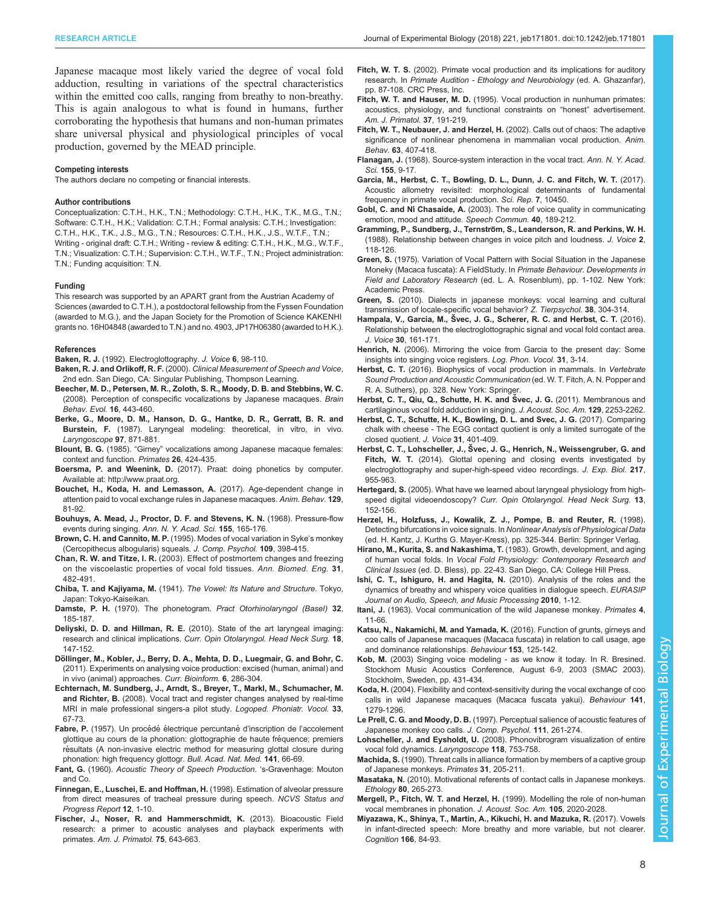<span id="page-7-0"></span>Japanese macaque most likely varied the degree of vocal fold adduction, resulting in variations of the spectral characteristics within the emitted coo calls, ranging from breathy to non-breathy. This is again analogous to what is found in humans, further corroborating the hypothesis that humans and non-human primates share universal physical and physiological principles of vocal production, governed by the MEAD principle.

#### Competing interests

The authors declare no competing or financial interests.

#### Author contributions

Conceptualization: C.T.H., H.K., T.N.; Methodology: C.T.H., H.K., T.K., M.G., T.N.; Software: C.T.H., H.K.; Validation: C.T.H.; Formal analysis: C.T.H.; Investigation: C.T.H., H.K., T.K., J.S., M.G., T.N.; Resources: C.T.H., H.K., J.S., W.T.F., T.N.; Writing - original draft: C.T.H.; Writing - review & editing: C.T.H., H.K., M.G., W.T.F., T.N.; Visualization: C.T.H.; Supervision: C.T.H., W.T.F., T.N.; Project administration: T.N.; Funding acquisition: T.N.

#### Funding

This research was supported by an APART grant from the Austrian Academy of Sciences (awarded to C.T.H.), a postdoctoral fellowship from the Fyssen Foundation (awarded to M.G.), and the Japan Society for the Promotion of Science KAKENHI grants no. 16H04848 (awarded to T.N.) and no. 4903, JP17H06380 (awarded to H.K.).

#### References

- Baken, R. J. [\(1992\). Electroglottography.](http://dx.doi.org/10.1016/S0892-1997(05)80123-7) J. Voice 6, 98-110.
- Baken, R. J. and Orlikoff, R. F. (2000). Clinical Measurement of Speech and Voice, 2nd edn. San Diego, CA: Singular Publishing, Thompson Learning.
- [Beecher, M. D., Petersen, M. R., Zoloth, S. R., Moody, D. B. and Stebbins, W. C.](http://dx.doi.org/10.1159/000121881) [\(2008\). Perception of conspecific vocalizations by Japanese macaques.](http://dx.doi.org/10.1159/000121881) Brain [Behav. Evol.](http://dx.doi.org/10.1159/000121881) 16, 443-460.
- [Berke, G., Moore, D. M., Hanson, D. G., Hantke, D. R., Gerratt, B. R. and](http://dx.doi.org/10.1288/00005537-198707000-00019) Burstein, F. [\(1987\). Laryngeal modeling: theoretical, in vitro, in vivo.](http://dx.doi.org/10.1288/00005537-198707000-00019) [Laryngoscope](http://dx.doi.org/10.1288/00005537-198707000-00019) 97, 871-881.
- Blount, B. G. (1985). "Girney" [vocalizations among Japanese macaque females:](http://dx.doi.org/10.1007/BF02382457) [context and function.](http://dx.doi.org/10.1007/BF02382457) Primates 26, 424-435.
- Boersma, P. and Weenink, D. (2017). Praat: doing phonetics by computer. Available at:<http://www.praat.org>.
- [Bouchet, H., Koda, H. and Lemasson, A.](http://dx.doi.org/10.1016/j.anbehav.2017.05.012) (2017). Age-dependent change in [attention paid to vocal exchange rules in Japanese macaques.](http://dx.doi.org/10.1016/j.anbehav.2017.05.012) Anim. Behav. 129, [81-92.](http://dx.doi.org/10.1016/j.anbehav.2017.05.012)
- [Bouhuys, A. Mead, J., Proctor, D. F. and Stevens, K. N.](http://dx.doi.org/10.1111/j.1749-6632.1968.tb56760.x) (1968). Pressure-flow [events during singing.](http://dx.doi.org/10.1111/j.1749-6632.1968.tb56760.x) Ann. N. Y. Acad. Sci. 155, 165-176.
- Brown, C. H. and Cannito, M. P. [\(1995\). Modes of vocal variation in Syke](http://dx.doi.org/10.1037/0735-7036.109.4.398)'s monkey [\(Cercopithecus albogularis\) squeals.](http://dx.doi.org/10.1037/0735-7036.109.4.398) J. Comp. Psychol. 109, 398-415.
- Chan, R. W. and Titze, I. R. [\(2003\). Effect of postmortem changes and freezing](http://dx.doi.org/10.1114/1.1561287) [on the viscoelastic properties of vocal fold tissues.](http://dx.doi.org/10.1114/1.1561287) Ann. Biomed. Eng. 31, [482-491.](http://dx.doi.org/10.1114/1.1561287)
- Chiba, T. and Kajiyama, M. (1941). The Vowel: Its Nature and Structure. Tokyo, Japan: Tokyo-Kaiseikan.
- Damste, P. H. (1970). The phonetogram. Pract Otorhinolaryngol (Basel) 32, 185-187.
- Deliyski, D. D. and Hillman, R. E. [\(2010\). State of the art laryngeal imaging:](http://dx.doi.org/10.1097/MOO.0b013e3283395dd4) research and clinical implications. [Curr. Opin Otolaryngol. Head Neck Surg.](http://dx.doi.org/10.1097/MOO.0b013e3283395dd4) 18, [147-152.](http://dx.doi.org/10.1097/MOO.0b013e3283395dd4)
- Dö[llinger, M., Kobler, J., Berry, D. A., Mehta, D. D., Luegmair, G. and Bohr, C.](http://dx.doi.org/10.2174/157489311796904673) [\(2011\). Experiments on analysing voice production: excised \(human, animal\) and](http://dx.doi.org/10.2174/157489311796904673) [in vivo \(animal\) approaches.](http://dx.doi.org/10.2174/157489311796904673) Curr. Bioinform. 6, 286-304.
- [Echternach, M. Sundberg, J., Arndt, S., Breyer, T., Markl, M., Schumacher, M.](http://dx.doi.org/10.1080/14015430701875653) and Richter, B. [\(2008\). Vocal tract and register changes analysed by real-time](http://dx.doi.org/10.1080/14015430701875653) [MRI in male professional singers-a pilot study.](http://dx.doi.org/10.1080/14015430701875653) Logoped. Phoniatr. Vocol. 33, [67-73.](http://dx.doi.org/10.1080/14015430701875653)
- Fabre, P. (1957). Un procédé électrique percuntané d'inscription de l'accolement glottique au cours de la phonation: glottographie de haute fréquence; premiers résultats (A non-invasive electric method for measuring glottal closure during phonation: high frequency glottogr. Bull. Acad. Nat. Med. 141, 66-69.
- Fant, G. (1960). Acoustic Theory of Speech Production. 's-Gravenhage: Mouton and Co.
- Finnegan, E., Luschei, E. and Hoffman, H. (1998). Estimation of alveolar pressure from direct measures of tracheal pressure during speech. NCVS Status and Progress Report 12, 1-10.
- [Fischer, J., Noser, R. and Hammerschmidt, K.](http://dx.doi.org/10.1002/ajp.22153) (2013). Bioacoustic Field [research: a primer to acoustic analyses and playback experiments with](http://dx.doi.org/10.1002/ajp.22153) primates. [Am. J. Primatol.](http://dx.doi.org/10.1002/ajp.22153) 75, 643-663.
- Fitch, W. T. S. (2002). Primate vocal production and its implications for auditory research. In Primate Audition - Ethology and Neurobiology (ed. A. Ghazanfar), pp. 87-108. CRC Press, Inc.
- Fitch, W. T. and Hauser, M. D. [\(1995\). Vocal production in nunhuman primates:](http://dx.doi.org/10.1002/ajp.1350370303) [acoustics, physiology, and functional constraints on](http://dx.doi.org/10.1002/ajp.1350370303) "honest" advertisement. [Am. J. Primatol.](http://dx.doi.org/10.1002/ajp.1350370303) 37, 191-219.
- [Fitch, W. T., Neubauer, J. and Herzel, H.](http://dx.doi.org/10.1006/anbe.2001.1912) (2002). Calls out of chaos: The adaptive [significance of nonlinear phenomena in mammalian vocal production.](http://dx.doi.org/10.1006/anbe.2001.1912) Anim. Behav. 63[, 407-418.](http://dx.doi.org/10.1006/anbe.2001.1912)
- Flanagan, J. [\(1968\). Source-system interaction in the vocal tract.](http://dx.doi.org/10.1111/j.1749-6632.1968.tb56744.x) Ann. N. Y. Acad. Sci. 155[, 9-17.](http://dx.doi.org/10.1111/j.1749-6632.1968.tb56744.x)
- [Garcia, M., Herbst, C. T., Bowling, D. L., Dunn, J. C. and Fitch, W. T.](http://dx.doi.org/10.1038/s41598-017-11000-x) (2017). [Acoustic allometry revisited: morphological determinants of fundamental](http://dx.doi.org/10.1038/s41598-017-11000-x) [frequency in primate vocal production.](http://dx.doi.org/10.1038/s41598-017-11000-x) Sci. Rep. 7, 10450.
- Gobl, C. and Ní Chasaide, A. [\(2003\). The role of voice quality in communicating](http://dx.doi.org/10.1016/S0167-6393(02)00082-1) [emotion, mood and attitude.](http://dx.doi.org/10.1016/S0167-6393(02)00082-1) Speech Commun. 40, 189-212.
- Gramming, P., Sundberg, J., Ternströ[m, S., Leanderson, R. and Perkins, W. H.](http://dx.doi.org/10.1016/S0892-1997(88)80067-5) [\(1988\). Relationship between changes in voice pitch and loudness.](http://dx.doi.org/10.1016/S0892-1997(88)80067-5) J. Voice 2, [118-126.](http://dx.doi.org/10.1016/S0892-1997(88)80067-5)
- Green, S. (1975). Variation of Vocal Pattern with Social Situation in the Japanese Moneky (Macaca fuscata): A FieldStudy. In Primate Behaviour. Developments in Field and Laboratory Research (ed. L. A. Rosenblum), pp. 1-102. New York: Academic Press.
- Green, S. [\(2010\). Dialects in japanese monkeys: vocal learning and cultural](http://dx.doi.org/10.1111/j.1439-0310.1975.tb02006.x) [transmission of locale-specific vocal behavior?](http://dx.doi.org/10.1111/j.1439-0310.1975.tb02006.x) Z. Tierpsychol. 38, 304-314.
- Hampala, V., Garcia, M., Š[vec, J. G., Scherer, R. C. and Herbst, C. T.](http://dx.doi.org/10.1016/j.jvoice.2015.03.018) (2016). [Relationship between the electroglottographic signal and vocal fold contact area.](http://dx.doi.org/10.1016/j.jvoice.2015.03.018) J. Voice 30[, 161-171.](http://dx.doi.org/10.1016/j.jvoice.2015.03.018)
- Henrich, N. [\(2006\). Mirroring the voice from Garcia to the present day: Some](http://dx.doi.org/10.1080/14015430500344844) [insights into singing voice registers.](http://dx.doi.org/10.1080/14015430500344844) Log. Phon. Vocol. 31, 3-14.
- Herbst, C. T. (2016). Biophysics of vocal production in mammals. In Vertebrate Sound Production and Acoustic Communication (ed. W. T. Fitch, A. N. Popper and R. A. Suthers), pp. 328. New York: Springer.
- Herbst, C. T., Qiu, Q., Schutte, H. K. and Švec, J. G. (2011). Membranous and [cartilaginous vocal fold adduction in singing.](http://dx.doi.org/10.1121/1.3552874) J. Acoust. Soc. Am. 129, 2253-2262.
- [Herbst, C. T., Schutte, H. K., Bowling, D. L. and Svec, J. G.](http://dx.doi.org/10.1016/j.jvoice.2016.11.007) (2017). Comparing [chalk with cheese - The EGG contact quotient is only a limited surrogate of the](http://dx.doi.org/10.1016/j.jvoice.2016.11.007) [closed quotient.](http://dx.doi.org/10.1016/j.jvoice.2016.11.007) J. Voice 31, 401-409.
- Herbst, C. T., Lohscheller, J., Š[vec, J. G., Henrich, N., Weissengruber, G. and](http://dx.doi.org/10.1242/jeb.093203) Fitch, W. T. [\(2014\). Glottal opening and closing events investigated by](http://dx.doi.org/10.1242/jeb.093203) [electroglottography and super-high-speed video recordings.](http://dx.doi.org/10.1242/jeb.093203) J. Exp. Biol. 217, [955-963.](http://dx.doi.org/10.1242/jeb.093203)
- Hertegard, S. [\(2005\). What have we learned about laryngeal physiology from high](http://dx.doi.org/10.1097/01.moo.0000163451.98079.ba)speed digital videoendoscopy? [Curr. Opin Otolaryngol. Head Neck Surg.](http://dx.doi.org/10.1097/01.moo.0000163451.98079.ba) 13, [152-156.](http://dx.doi.org/10.1097/01.moo.0000163451.98079.ba)
- Herzel, H., Holzfuss, J., Kowalik, Z. J., Pompe, B. and Reuter, R. (1998). Detecting bifurcations in voice signals. In Nonlinear Analysis of Physiological Data (ed. H. Kantz, J. Kurths G. Mayer-Kress), pp. 325-344. Berlin: Springer Verlag.
- Hirano, M., Kurita, S. and Nakashima, T. (1983). Growth, development, and aging of human vocal folds. In Vocal Fold Physiology: Contemporary Research and Clinical Issues (ed. D. Bless), pp. 22-43. San Diego, CA: College Hill Press.
- [Ishi, C. T., Ishiguro, H. and Hagita, N.](http://dx.doi.org/10.1155/2010/528193) (2010). Analysis of the roles and the [dynamics of breathy and whispery voice qualities in dialogue speech.](http://dx.doi.org/10.1155/2010/528193) EURASIP [Journal on Audio, Speech, and Music Processing](http://dx.doi.org/10.1155/2010/528193) 2010, 1-12.
- Itani, J. [\(1963\). Vocal communication of the wild Japanese monkey.](http://dx.doi.org/10.1007/BF01659149) Primates 4, [11-66.](http://dx.doi.org/10.1007/BF01659149)
- [Katsu, N., Nakamichi, M. and Yamada, K.](http://dx.doi.org/10.1163/1568539X-00003330) (2016). Function of grunts, girneys and [coo calls of Japanese macaques \(Macaca fuscata\) in relation to call usage, age](http://dx.doi.org/10.1163/1568539X-00003330) [and dominance relationships.](http://dx.doi.org/10.1163/1568539X-00003330) Behaviour 153, 125-142.
- Kob, M. (2003) Singing voice modeling as we know it today. In R. Bresined. Stockhom Music Acoustics Conference, August 6-9, 2003 (SMAC 2003). Stockholm, Sweden, pp. 431-434.
- Koda, H. [\(2004\). Flexibility and context-sensitivity during the vocal exchange of coo](http://dx.doi.org/10.1163/1568539042729685) [calls in wild Japanese macaques \(Macaca fuscata yakui\).](http://dx.doi.org/10.1163/1568539042729685) Behaviour 141, [1279-1296.](http://dx.doi.org/10.1163/1568539042729685)
- Le Prell, C. G. and Moody, D. B. [\(1997\). Perceptual salience of acoustic features of](http://dx.doi.org/10.1037/0735-7036.111.3.261) [Japanese monkey coo calls.](http://dx.doi.org/10.1037/0735-7036.111.3.261) J. Comp. Psychol. 111, 261-274.
- Lohscheller, J. and Eysholdt, U. [\(2008\). Phonovibrogram visualization of entire](http://dx.doi.org/10.1097/MLG.0b013e318161f9e1) [vocal fold dynamics.](http://dx.doi.org/10.1097/MLG.0b013e318161f9e1) Laryngoscope 118, 753-758.
- Machida, S. [\(1990\). Threat calls in alliance formation by members of a captive group](http://dx.doi.org/10.1007/BF02380942) [of Japanese monkeys.](http://dx.doi.org/10.1007/BF02380942) Primates 31, 205-211.
- Masataka, N. [\(2010\). Motivational referents of contact calls in Japanese monkeys.](http://dx.doi.org/10.1111/j.1439-0310.1989.tb00745.x) Ethology 80[, 265-273.](http://dx.doi.org/10.1111/j.1439-0310.1989.tb00745.x)
- Mergell, P., Fitch, W. T. and Herzel, H. [\(1999\). Modelling the role of non-human](http://dx.doi.org/10.1121/1.426735) [vocal membranes in phonation.](http://dx.doi.org/10.1121/1.426735) J. Acoust. Soc. Am. 105, 2020-2028.
- [Miyazawa, K., Shinya, T., Martin, A., Kikuchi, H. and Mazuka, R.](http://dx.doi.org/10.1016/j.cognition.2017.05.003) (2017). Vowels [in infant-directed speech: More breathy and more variable, but not clearer.](http://dx.doi.org/10.1016/j.cognition.2017.05.003) [Cognition](http://dx.doi.org/10.1016/j.cognition.2017.05.003) 166, 84-93.